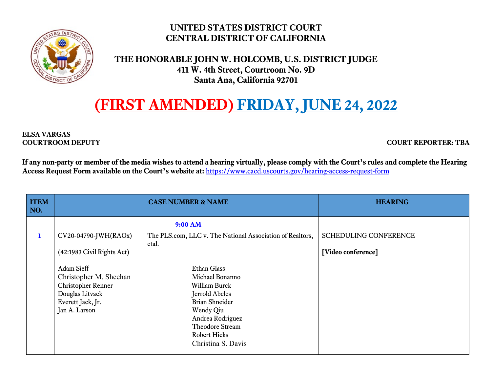

## **UNITED STATES DISTRICT COURT CENTRAL DISTRICT OF CALIFORNIA**

 **THE HONORABLE JOHN W. HOLCOMB, U.S. DISTRICT JUDGE 411 W. 4th Street, Courtroom No. 9D Santa Ana, California 92701** 

## **(FIRST AMENDED) FRIDAY, JUNE 24, 2022**

**ELSA VARGAS** 

**COURTROOM DEPUTY COURT REPORTER: TBA** 

**If any non-party or member of the media wishes to attend a hearing virtually, please comply with the Court's rules and complete the Hearing Access Request Form available on the Court's website at:** https://www.cacd.uscourts.gov/hearing-access-request-form

| <b>ITEM</b><br>NO. |                                                                                                                                                                           | <b>CASE NUMBER &amp; NAME</b>                                                                                                                                                                                                             | <b>HEARING</b>                                     |
|--------------------|---------------------------------------------------------------------------------------------------------------------------------------------------------------------------|-------------------------------------------------------------------------------------------------------------------------------------------------------------------------------------------------------------------------------------------|----------------------------------------------------|
|                    | 9:00 AM                                                                                                                                                                   |                                                                                                                                                                                                                                           |                                                    |
| $\mathbf{1}$       | CV20-04790-JWH(RAOx)<br>(42:1983 Civil Rights Act)<br>Adam Sieff<br>Christopher M. Sheehan<br>Christopher Renner<br>Douglas Litvack<br>Everett Jack, Jr.<br>Jan A. Larson | The PLS.com, LLC v. The National Association of Realtors,<br>etal.<br><b>Ethan Glass</b><br>Michael Bonanno<br><b>William Burck</b><br><b>Jerrold Abeles</b><br><b>Brian Shneider</b><br>Wendy Qiu<br>Andrea Rodriguez<br>Theodore Stream | <b>SCHEDULING CONFERENCE</b><br>[Video conference] |
|                    |                                                                                                                                                                           | <b>Robert Hicks</b><br>Christina S. Davis                                                                                                                                                                                                 |                                                    |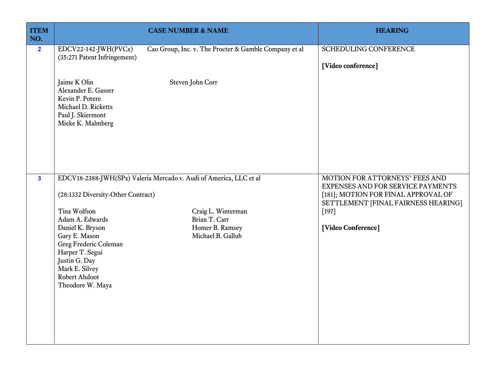| <b>ITEM</b><br>NO.      |                                                                                                                                                                                                                                | <b>CASE NUMBER &amp; NAME</b>                                                                                                                     | <b>HEARING</b>                                                                                                                                                                     |
|-------------------------|--------------------------------------------------------------------------------------------------------------------------------------------------------------------------------------------------------------------------------|---------------------------------------------------------------------------------------------------------------------------------------------------|------------------------------------------------------------------------------------------------------------------------------------------------------------------------------------|
| $\overline{2}$          | EDCV22-142-JWH(PVCx)<br>(35:271 Patent Infringement)                                                                                                                                                                           | Cao Group, Inc. v. The Procter & Gamble Company et al                                                                                             | SCHEDULING CONFERENCE<br>[Video conference]                                                                                                                                        |
|                         | Jaime K Olin<br>Alexander E. Gasser<br>Kevin P. Potere<br>Michael D. Ricketts<br>Paul J. Skiermont<br>Mieke K. Malmberg                                                                                                        | Steven John Corr                                                                                                                                  |                                                                                                                                                                                    |
| $\overline{\mathbf{3}}$ | (28:1332 Diversity-Other Contract)<br>Tina Wolfson<br>Adam A. Edwards<br>Daniel K. Bryson<br>Gary E. Mason<br>Greg Frederic Coleman<br>Harper T. Segui<br>Justin G. Day<br>Mark E. Silvey<br>Robert Ahdoot<br>Theodore W. Maya | EDCV18-2388-JWH(SPx) Valeria Mercado v. Audi of America, LLC et al<br>Craig L. Winterman<br>Brian T. Carr<br>Homer B. Ramsey<br>Michael B. Gallub | MOTION FOR ATTORNEYS' FEES AND<br>EXPENSES AND FOR SERVICE PAYMENTS<br>[181]; MOTION FOR FINAL APPROVAL OF<br>SETTLEMENT [FINAL FAIRNESS HEARING]<br>$[197]$<br>[Video Conference] |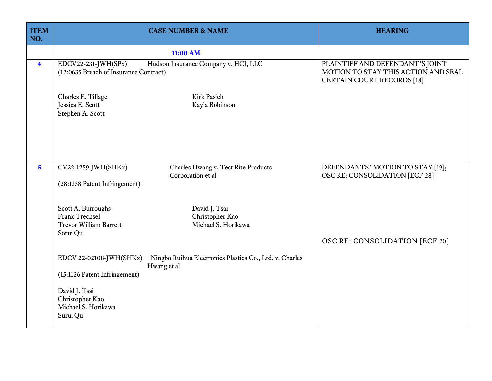| <b>ITEM</b><br>NO.      | <b>CASE NUMBER &amp; NAME</b>                                                                                                           | <b>HEARING</b>                                                                                              |
|-------------------------|-----------------------------------------------------------------------------------------------------------------------------------------|-------------------------------------------------------------------------------------------------------------|
|                         | 11:00 AM                                                                                                                                |                                                                                                             |
| $\overline{\mathbf{4}}$ | EDCV22-231-JWH(SPx)<br>Hudson Insurance Company v. HCI, LLC<br>(12:0635 Breach of Insurance Contract)                                   | PLAINTIFF AND DEFENDANT'S JOINT<br>MOTION TO STAY THIS ACTION AND SEAL<br><b>CERTAIN COURT RECORDS [18]</b> |
|                         | Charles E. Tillage<br><b>Kirk Pasich</b><br>Jessica E. Scott<br>Kayla Robinson<br>Stephen A. Scott                                      |                                                                                                             |
| 5 <sup>5</sup>          | CV22-1259-JWH(SHKx)<br>Charles Hwang v. Test Rite Products<br>Corporation et al<br>(28:1338 Patent Infringement)                        | DEFENDANTS' MOTION TO STAY [19];<br>OSC RE: CONSOLIDATION [ECF 28]                                          |
|                         | Scott A. Burroughs<br>David J. Tsai<br><b>Frank Trechsel</b><br>Christopher Kao<br><b>Trevor William Barrett</b><br>Michael S. Horikawa |                                                                                                             |
|                         | Sorui Qu                                                                                                                                | <b>OSC RE: CONSOLIDATION [ECF 20]</b>                                                                       |
|                         | EDCV 22-02108-JWH(SHKx)<br>Ningbo Ruihua Electronics Plastics Co., Ltd. v. Charles<br>Hwang et al<br>(15:1126 Patent Infringement)      |                                                                                                             |
|                         | David J. Tsai<br>Christopher Kao<br>Michael S. Horikawa<br>Surui Qu                                                                     |                                                                                                             |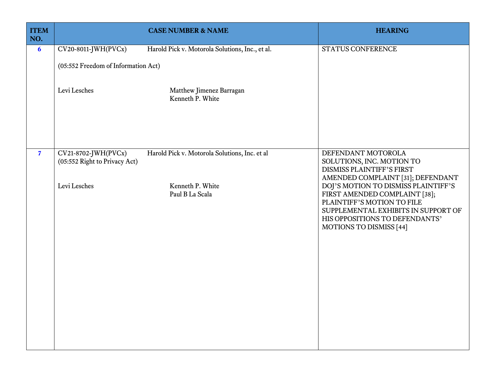| STATUS CONFERENCE                                                                                                                                                                                                                                  |
|----------------------------------------------------------------------------------------------------------------------------------------------------------------------------------------------------------------------------------------------------|
|                                                                                                                                                                                                                                                    |
| DEFENDANT MOTOROLA<br>SOLUTIONS, INC. MOTION TO<br><b>DISMISS PLAINTIFF'S FIRST</b>                                                                                                                                                                |
| AMENDED COMPLAINT [31]; DEFENDANT<br>DOJ'S MOTION TO DISMISS PLAINTIFF'S<br>FIRST AMENDED COMPLAINT [38];<br>PLAINTIFF'S MOTION TO FILE<br>SUPPLEMENTAL EXHIBITS IN SUPPORT OF<br>HIS OPPOSITIONS TO DEFENDANTS'<br><b>MOTIONS TO DISMISS [44]</b> |
|                                                                                                                                                                                                                                                    |